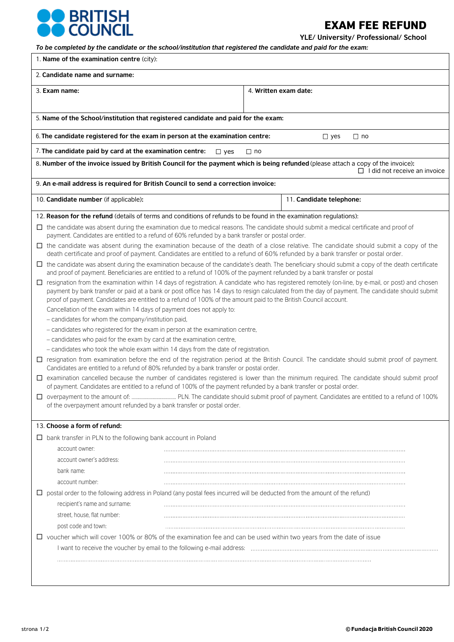

EXAM FEE REFUND

**YLE/ University/ Professional/ School**

| To be completed by the candidate or the school/institution that registered the candidate and paid for the exam:                                                                                                                                                                     |                                     |  |  |  |
|-------------------------------------------------------------------------------------------------------------------------------------------------------------------------------------------------------------------------------------------------------------------------------------|-------------------------------------|--|--|--|
| 1. Name of the examination centre (city):                                                                                                                                                                                                                                           |                                     |  |  |  |
| 2. Candidate name and surname:                                                                                                                                                                                                                                                      |                                     |  |  |  |
| 3. Exam name:                                                                                                                                                                                                                                                                       | 4. Written exam date:               |  |  |  |
|                                                                                                                                                                                                                                                                                     |                                     |  |  |  |
| 5. Name of the School/institution that registered candidate and paid for the exam:                                                                                                                                                                                                  |                                     |  |  |  |
| 6. The candidate registered for the exam in person at the examination centre:<br>$\Box$ yes<br>$\Box$ no                                                                                                                                                                            |                                     |  |  |  |
| 7. The candidate paid by card at the examination centre:<br>$\Box$ yes                                                                                                                                                                                                              | □ no                                |  |  |  |
| 8. Number of the invoice issued by British Council for the payment which is being refunded (please attach a copy of the invoice):                                                                                                                                                   | $\Box$ I did not receive an invoice |  |  |  |
| 9. An e-mail address is required for British Council to send a correction invoice:                                                                                                                                                                                                  |                                     |  |  |  |
| 10. Candidate number (if applicable):                                                                                                                                                                                                                                               | 11. Candidate telephone:            |  |  |  |
| 12. Reason for the refund (details of terms and conditions of refunds to be found in the examination regulations):                                                                                                                                                                  |                                     |  |  |  |
| $\Box$ the candidate was absent during the examination due to medical reasons. The candidate should submit a medical certificate and proof of<br>payment. Candidates are entitled to a refund of 60% refunded by a bank transfer or postal order.                                   |                                     |  |  |  |
| $\Box$ the candidate was absent during the examination because of the death of a close relative. The candidate should submit a copy of the<br>death certificate and proof of payment. Candidates are entitled to a refund of 60% refunded by a bank transfer or postal order.       |                                     |  |  |  |
| $\Box$ the candidate was absent during the examination because of the candidate's death. The beneficiary should submit a copy of the death certificate<br>and proof of payment. Beneficiaries are entitled to a refund of 100% of the payment refunded by a bank transfer or postal |                                     |  |  |  |
| $\Box$ resignation from the examination within 14 days of registration. A candidate who has registered remotely (on-line, by e-mail, or post) and chosen                                                                                                                            |                                     |  |  |  |
| payment by bank transfer or paid at a bank or post office has 14 days to resign calculated from the day of payment. The candidate should submit<br>proof of payment. Candidates are entitled to a refund of 100% of the amount paid to the British Council account.                 |                                     |  |  |  |
| Cancellation of the exam within 14 days of payment does not apply to:                                                                                                                                                                                                               |                                     |  |  |  |
| - candidates for whom the company/institution paid,                                                                                                                                                                                                                                 |                                     |  |  |  |
| - candidates who registered for the exam in person at the examination centre,                                                                                                                                                                                                       |                                     |  |  |  |
| - candidates who paid for the exam by card at the examination centre,                                                                                                                                                                                                               |                                     |  |  |  |
| - candidates who took the whole exam within 14 days from the date of registration.                                                                                                                                                                                                  |                                     |  |  |  |
| □ resignation from examination before the end of the registration period at the British Council. The candidate should submit proof of payment.<br>Candidates are entitled to a refund of 80% refunded by a bank transfer or postal order.                                           |                                     |  |  |  |
| □ examination cancelled because the number of candidates registered is lower than the minimum required. The candidate should submit proof<br>of payment. Candidates are entitled to a refund of 100% of the payment refunded by a bank transfer or postal order.                    |                                     |  |  |  |
|                                                                                                                                                                                                                                                                                     |                                     |  |  |  |
| of the overpayment amount refunded by a bank transfer or postal order.                                                                                                                                                                                                              |                                     |  |  |  |
| 13. Choose a form of refund:                                                                                                                                                                                                                                                        |                                     |  |  |  |
| $\Box$ bank transfer in PLN to the following bank account in Poland                                                                                                                                                                                                                 |                                     |  |  |  |
| account owner:                                                                                                                                                                                                                                                                      |                                     |  |  |  |
| account owner's address:                                                                                                                                                                                                                                                            |                                     |  |  |  |
| bank name:                                                                                                                                                                                                                                                                          |                                     |  |  |  |
| account number:                                                                                                                                                                                                                                                                     |                                     |  |  |  |
| $\Box$ postal order to the following address in Poland (any postal fees incurred will be deducted from the amount of the refund)                                                                                                                                                    |                                     |  |  |  |
| recipient's name and surname:                                                                                                                                                                                                                                                       |                                     |  |  |  |
| street, house, flat number:                                                                                                                                                                                                                                                         |                                     |  |  |  |
| post code and town:                                                                                                                                                                                                                                                                 |                                     |  |  |  |
| $\Box$ voucher which will cover 100% or 80% of the examination fee and can be used within two years from the date of issue                                                                                                                                                          |                                     |  |  |  |
|                                                                                                                                                                                                                                                                                     |                                     |  |  |  |
|                                                                                                                                                                                                                                                                                     |                                     |  |  |  |
|                                                                                                                                                                                                                                                                                     |                                     |  |  |  |
|                                                                                                                                                                                                                                                                                     |                                     |  |  |  |